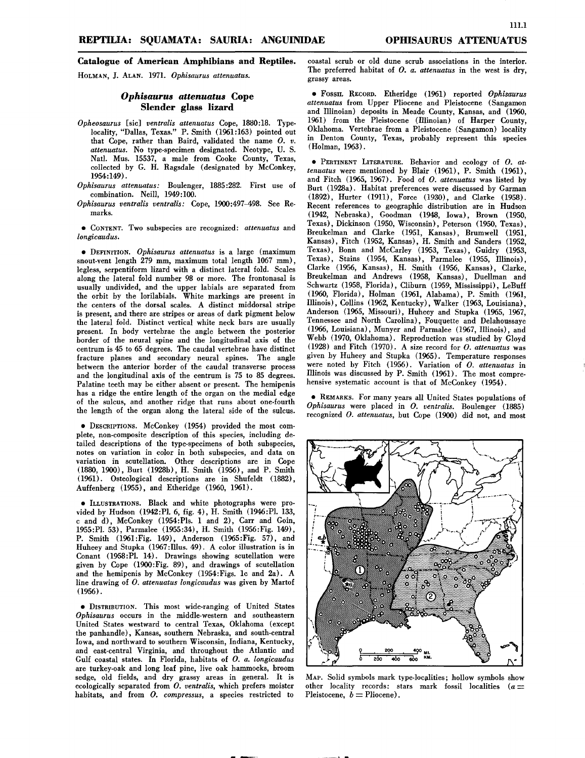111.1

# **Catalogue of American Amphibians and Reptiles.**

HOLMAN,J. ALAN. 1971. *Ophisaurus attenuatus.*

## *Ophisaurus attenuatus* **Cope Slender glass lizard**

- *Opheosaurus* [sic] *ventralis attenuatus* Cope, 1880:18. Typelocality, "Dallas, Texas." P. Smith (1961:163) pointed out that Cope, rather than Baird, validated the name O. *v. attenuatus.* No type-specimen designated. Neotype, U. S. NatI. Mus. 15537, a male from Cooke County, Texas, collected by G. H. Ragsdale (designated by McConkey, 1954:149) .
- *Ophisaurus attenuatus:* Boulenger, 1885:282. First use of combination. Neill, 1949:100.
- *Ophisaurus ventralis ventralis:* Cope, 1900:497-498. See Remarks.

• CONTENT.Two subspecies are recognized: *attenuatus* and *longicaudus.*

• DEFINITION. *Ophisaurus attenuatus* is a large (maximum snout-vent length 279 mm, maximum total length 1067 mm), legless, serpentiform lizard with a distinct lateral fold. Scales along the lateral fold number 98 or more. The frontonasal is usually undivided, and the upper labials are separated from the orbit by the lorilabials. White markings are present in the centers of the dorsal scales. A distinct middorsal stripe is present, and there are stripes or areas of dark pigment below the lateral fold. Distinct vertical white neck bars are usually present. In body vertebrae the angle between the posterior border of the neural spine and the longitudinal axis of the centrum is 45 to 65 degrees. The caudal vertebrae have distinct fracture planes and secondary neural spines. The angle between the anterior border of the caudal transverse process and the longitudinal axis of the centrum is 75 to 85 degrees. Palatine teeth may be either absent or present. The hemipenis has a ridge the entire length of the organ on the medial edge of the sulcus, and another ridge that runs about one-fourth the length of the organ along the lateral side of the sulcus.

• DESCRIPTIONS.McConkey (1954) provided the most complete, non-composite description of this species, including detailed descriptions of the type-specimens of both subspecies, notes on variation in color in both subspecies, and data on variation in scutellation. Other descriptions are in Cope (1880, 1900), Burt (1928b), H. Smith (1956), and P. Smith (1%1) . Osteological descriptions are in Shufeldt (1882), Auffenberg (1955), and Etheridge (1960, 1961).

• ILLUSTRATIONS.Black and white photographs were provided by Hudson (1942:PI. 6, fig. 4), H. Smith (1946:PI. 133, c and d), McConkey (1954: PIs. 1 and 2), Carr and Goin, 1955:PI. 53), Parmalee (1955:34), H. Smith (1956:Fig. 149), P. Smith (1961 :Fig. 149), Anderson (1965:Fig. 57), and Huheey and Stupka (1967 :Illus. 49). A color illustration is in Conant (1958:PI. 14). Drawings showing scutellation were given by Cope (1900:Fig. 89), and drawings of scutellation and the hemipenis by McConkey (1954:Figs. lc and 2a). A line drawing of *O. attenuatus longicaudus* was given by Martof (1956) .

• DISTRIBUTION.This most wide-ranging of United States *Ophisaurus* occurs in the middle-western and southeastern United States westward to central Texas, Oklahoma (except the panhandle), Kansas, southern Nebraska, and south-central Iowa, and northward to southern Wisconsin, Indiana, Kentucky, and east-central Virginia, and throughout the Atlantic and Gulf coastal states. In Florida, habitats of *O. a. longicaudus* are turkey-oak and long leaf pine, live oak hammocks, broom sedge, old fields, and dry grassy areas in general. It is ecologically separated from *O. ventralis,* which prefers moister habitats, and from *O. compressus,* a species restricted to

coastal scrub or old dune scrub associations in the interior. The preferred habitat of *O. a. attenuatus* in the west is dry, grassy areas.

• FOSSIL RECORD. Etheridge (1961) reported *Ophisaurus attenuatus* from Upper Pliocene and Pleistocene (Sangamon and Illinoian) deposits in Meade County, Kansas, and (1960, 1961) from the Pleistocene (Illinoian) of Harper County, Oklahoma. Vertebrae from a Pleistocene (Sangamon) locality in Denton County, Texas, probably represent this species (Holman, 1963).

• PERTINENT LITERATURE. Behavior and ecology of O. at*tenuatus* were mentioned by Blair (1961), P. Smith (1961), and Fitch (1965, 1967). Food of *O. attenuatus* was listed by Burt (1928a). Habitat preferences were discussed by Garman (1892), Hurter (1911), Force (1930), and Clarke (1958). Recent references to geographic distribution are in Hudson (1942, Nebraska), Goodman (1948, Iowa), Brown (1950, Texas), Dickinson (1950, Wisconsin), Peterson (1950, Texas), Breukelman and Clarke (1951, Kansas), Brumwell (1951, Kansas), Fitch (1952, Kansas), H. Smith and Sanders (1952, Texas), Bonn and McCarley (1953, Texas), Guidry (1953, Texas), Stains (1954, Kansas), Parmalee (1955, Illinois), Clarke (1956, Kansas), H. Smith (1956, Kansas), Clarke, Breukelman and Andrews (1958, Kansas), Duellman and Schwartz (1958, Florida), Cliburn (1959, Mississippi), LeBuff (1960, Florida), Holman (1%1, Alabama), P. Smith (1961, Illinois), Collins (1962, Kentucky), Walker (1963, Louisiana), Anderson (1965, Missouri), Huheey and Stupka (1965, 1967, Tennessee and North Carolina), Fouquette and Delahoussaye (1966, Louisiana), Munyer and Parmalee (1967, Illinois), and Webb (1970, Oklahoma). Reproduction was studied by Gloyd (1928) and Fitch (1970). A size record for *O. attenuatus* was given by Huheey and Stupka (1965). Temperature responses were noted by Fitch (1956) . Variation of *O. attenuatus* in Illinois was discussed by  $P$ . Smith  $(1961)$ . The most comprehensive systematic account is that of McConkey (1954).

• REMARKS.For many years all United States populations of *Ophisaurus* were placed in *O. ventralis.* Boulenger (1885) recognized *O. attenuatus,* but Cope (1900) did not, and most



MAP. Solid symbols mark type-localities; hollow symbols show other locality records: stars mark fossil localities ( $a =$  Pleistocene,  $b =$  Pliocene).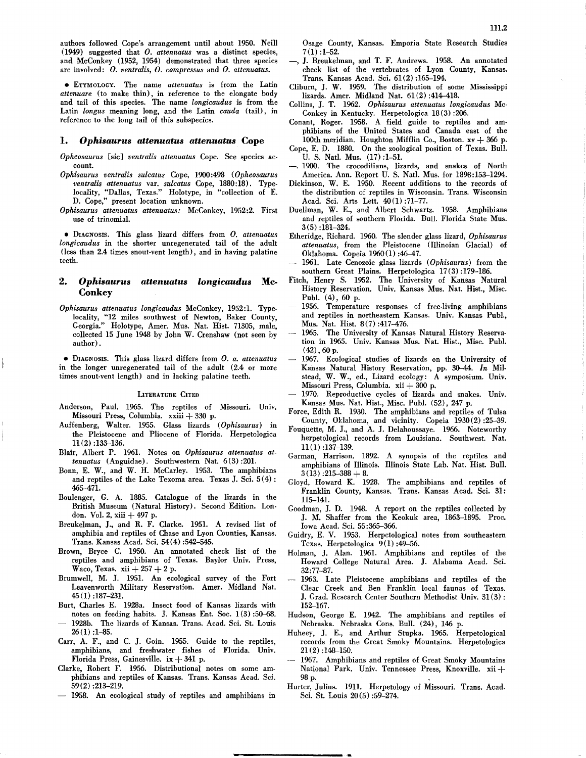authors followed Cope's arrangement until ahout 1950. Neill  $(1949)$  suggested that *O. attenuatus* was a distinct species, and McConkey (1952, 1954) demonstrated that three species are involved: *O. ventralis, O. compress us* and *O. attenuatus.*

• ETYMOLOGY.The name *attenuatus* is from the Latin *attenuare* (to make thin), in reference to the elongate body and tail of this species. The name *longicaudus* is from the Latin *longus* meaning long, and the Latin *cauda* (tail), in reference to the long tail of this subspecies.

### *1. Ophisaurus attenuatus attenuatus* **Cope**

- *Opheosaurus* [sic] *ventralis attenuatus* Cope. See species ac- count.
- *Ophisaurus ventralis sulcatus* Cope, 1900:498 *(Opheosaurus ventralis attenuatus* var. *sulcatus* Cope, 1880:18). Typelocality, "Dallas, Texas." Holotype, in "collection of E. D. Cope," present location unknown.
- *Ophisaurus attenuatus attenuatus:* McConkey, 1952:2. First use of trinomial.

• DIAGNOSIS.This glass lizard differs from *O. attenuatus longicaudus* in the shorter unregenerated tail of the adult (less than 2.4 times snout-vent length), and in having palatine teeth.

### *2. Ophisaurus attenuatus longicaudus* **Mc-Conkey**

*Ophisaurus attenuatus longicaudus* McConkey, 1952:1. Typelocality, "12 miles southwest of Newton, Baker County, Georgia." Holotype, Amer. Mus. Nat. Hist. 71305, male, collected 15 June 1948 by John W. Crenshaw (not seen by author) .

• DIAGNOSIS.This glass lizard differs from *O. a. attenuatus* in the longer unregenerated tail of the adult (2.4 or more times snout-vent length) and in lacking palatine teeth.

#### LITERATURE CITED

- Anderson, Paul. 1965. The reptiles of Missouri. Univ. Missouri Press, Columbia. xxiii + <sup>330</sup> p.
- Auffenberg, Walter. 1955. Glass lizards *(Ophisaurus)* in the Pleistocene and Pliocene of Florida. Herpetologica  $11(2)$ :133-136.
- Blair, Albert P. 1961. Notes on *Ophisaurus attenuatus attenuatus* (Anguidae). Southwestern Nat. 6(3) :201.
- Bonn, E. W., and W. H. McCarley. 1953. The amphibians and reptiles of the Lake Texoma area. Texas J. Sci. 5(4) : 465-471.
- Boulenger, G. A. 1885. Catalogue of the lizards in the British Museum (Natural History). Second Edition. London. Vol. 2, xiii + 497 p.
- Breukelman, J., and R. F. Clarke. 1951. A revised list of amphibia and reptiles of Chase and Lyon Counties, Kansas. Trans. Kansas Acad. Sci. 54(4) :542-545.
- Brown, Bryce C. 1950. An annotated check list of the reptiles and amphibians of Texas. Baylor Univ. Press, Waco, Texas. xii  $+257 + 2 p$ .
- Brumwell, M. J. 1951. An ecological survey of the Fort Leavenworth Military Reservation. Amer. Midland Nat. 45 (I) :187-231.
- Burt, Charles E. 1928a. Insect food of Kansas lizards with notes on feeding habits. J. Kansas Ent. Soc. 1(3) :50-68.
- 1928b. The lizards of Kansas. Trans. Acad. Sci. St. Louis  $26(1):1-85.$
- Carr, A. F., and C. J. Goin. 1955. Guide to the reptiles, amphibians, and freshwater fishes of Florida. Univ. Florida Press, Gainesville. ix  $+341$  p.
- Clarke, Robert F. 1956. Distributional notes on some amphibians and reptiles of Kansas. Trans. Kansas Acad. Sci. 59(2) :213-219.
- 1958. An ecological study of reptiles and amphibians in

Osage County, Kansas. Emporia State Research Studies  $7(1)$ : 1-52.

- J. Breukelman, and T. F. Andrews. 1958. An annotated check list of the vertebrates of Lyon County, Kansas. Trans. Kansas Acad. Sci. 61 (2) :165-194.
- Cliburn, J. W. 1959. The distribution of some Mississippi lizards. Amer. Midland Nat. 61 (2) :414-418.
- Collins, J. T. 1962. *Ophisaurus attenuatus longicaudus* Mc-Conkey in Kentucky. Herpetologica 18(3) :206.
- Conant, Roger. 1958. A field guide to reptiles and amphibians of the United States and Canada east of the 100th meridian. Houghton Mifflin Co., Boston.  $xy + 366$  p.
- Cope, E. D. 1880. On the zoological position of Texas. Bull. U. S. Nat!. Mus. (17) :1-51.
- -. 1900. The crocodilians, lizards, and snakes of North America. Ann. Report U. S. Natl. Mus. for 1898:153-1294.
- Dickinson, W. E. 1950. Recent additions to the records of the distribution of reptiles in Wisconsin. Trans. Wisconsin Acad. Sci. Arts Lett. 40(1):71-77.
- Duellman, W. E., and Albert Schwartz. 1958. Amphibians and reptiles of southern Florida. Bull. Florida State Mus. 3(5) :181-324.
- Etheridge, Richard. 1960. The slender glass lizard, *Ophisaurus attenuatus,* from the Pleistocene (Illinoian Glacial) of Oklahoma. Copeia 1960(1) :46-47.
- 1961. Late Cenozoic glass lizards *(Ophisaurus)* from the southern Great Plains. Herpetologica 17 (3) :179-186.
- Fitch, Henry S. 1952. The University of Kansas Natural History Reservation. Univ. Kansas Mus. Nat. Hist., Misc. Publ. (4), 60 p.
- 1956. Temperature responses of free-living amphibians and reptiles in northeastern Kansas. Univ. Kansas Publ., Mus. Nat. Hist. 8(7) :417-476.
- 1965. The University of Kansas Natural History Reservation in 1965. Univ. Kansas Mus. Nat. Hist., Misc. Publ. (42),60 p.
- 1967. Ecological studies of lizards on the University of Kansas Natural History Reservation, pp. 30-44. *In* Milstead, W. W., ed., Lizard ecology: A symposium. Univ. Missouri Press, Columbia.  $xii + 300$  p.
- 1970. Reproductive cycles of lizards and snakes. Univ. Kansas Mus. Nat. Hist., Misc. Publ. (52), 247 p.
- Force, Edith R. 1930. The amphibians and reptiles of Tulsa County, Oklahoma, and vicinity. Copeia 1930(2) :25-39.
- Fouquette, M. J., and A. J. Delahoussaye. 1966. Noteworthy herpetological records from Louisiana. Southwest. Nat. II (l) :137-139.
- Garman, Harrison. 1892. A synopsis of the reptiles and amphibians of Illinois. Illinois State Lab. Nat. Hist. Bull.  $3(13):215-388+8.$
- Gloyd, Howard K. 1928. The amphibians and reptiles of Franklin County, Kansas. Trans. Kansas Acad. Sci. 31: II5-141.
- Goodman, J. D. 1948. A report on the reptiles collected by J. M. Shaffer from the Keokuk area, 1863--1895. Proc. Iowa Acad. Sci. 55:365-366.
- Guidry, E. V. 1953. Herpetological notes from southeastern Texas. Herpetologica 9(1) :49-56.
- Holman, J. Alan. 1961. Amphibians and reptiles of the Howard College Natural Area. J. Alabama Acad. Sci. 32:77-87.
- 1963. Late Pleistocene amphibians and reptiles of the Clear Creek and Ben Franklin local faunas of Texas. J. Grad. Research Center Southern Methodist Univ. 31 (3) : 152-167.
- Hudson, George E. 1942. The amphibians and reptiles of Nebraska. Nebraska Cons. Bull. (24), 146 p.
- Huheey, J. E., and Arthur Stupka. 1965. Herpetological records from the Great Smoky Mountains. Herpetologica  $21(2)$ :148-150.
- 1967. Amphibians and reptiles of Great Smoky Mountains National Park. Univ. Tennessee Press, Knoxville. xii + 98p.
- Hurter, Julius. 19II. Herpetology of Missouri. Trans. Acad. Sci. St. Louis 20(5) :59-274.